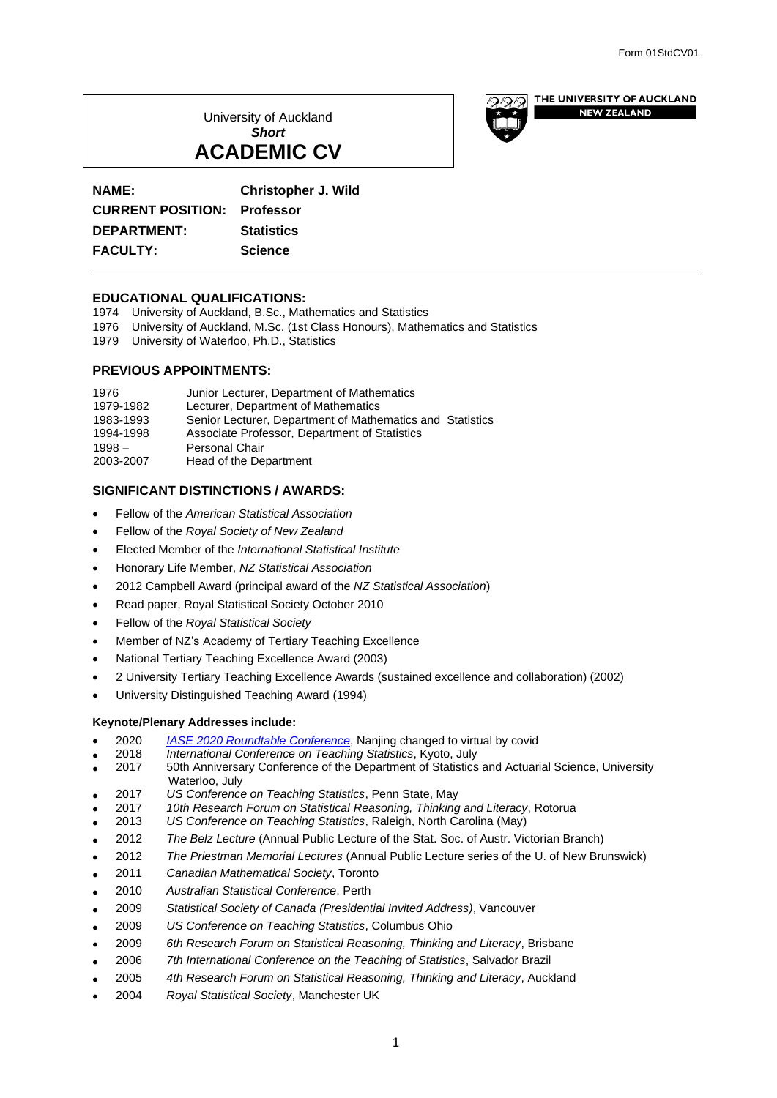University of Auckland *Short* **ACADEMIC CV**



**NEW ZEALAND** 

# **NAME: Christopher J. Wild**

**CURRENT POSITION: Professor DEPARTMENT: Statistics FACULTY: Science**

# **EDUCATIONAL QUALIFICATIONS:**

- 1974 University of Auckland, B.Sc., Mathematics and Statistics
- 1976 University of Auckland, M.Sc. (1st Class Honours), Mathematics and Statistics
- 1979 University of Waterloo, Ph.D., Statistics

## **PREVIOUS APPOINTMENTS:**

| 1976      | Junior Lecturer, Department of Mathematics                |
|-----------|-----------------------------------------------------------|
| 1979-1982 | Lecturer, Department of Mathematics                       |
| 1983-1993 | Senior Lecturer, Department of Mathematics and Statistics |
| 1994-1998 | Associate Professor, Department of Statistics             |
| $1998 -$  | <b>Personal Chair</b>                                     |
| 2003-2007 | Head of the Department                                    |

# **SIGNIFICANT DISTINCTIONS / AWARDS:**

- Fellow of the *American Statistical Association*
- Fellow of the *Royal Society of New Zealand*
- Elected Member of the *International Statistical Institute*
- Honorary Life Member, *NZ Statistical Association*
- 2012 Campbell Award (principal award of the *NZ Statistical Association*)
- Read paper, Royal Statistical Society October 2010
- Fellow of the *Royal Statistical Society*
- Member of NZ's Academy of Tertiary Teaching Excellence
- National Tertiary Teaching Excellence Award (2003)
- 2 University Tertiary Teaching Excellence Awards (sustained excellence and collaboration) (2002)
- University Distinguished Teaching Award (1994)

# **Keynote/Plenary Addresses include:**

- 2020 *[IASE 2020 Roundtable Conference](https://www.stat.auckland.ac.nz/~wild/talks/IASE2020/)*, Nanjing changed to virtual by covid
- 2018 *International Conference on Teaching Statistics*, Kyoto, July
- 50th Anniversary Conference of the Department of Statistics and Actuarial Science, University Waterloo, July<br>2017 US Conference
- 2017 *US Conference on Teaching Statistics*, Penn State, May
- 2017 *10th Research Forum on Statistical Reasoning, Thinking and Literacy*, Rotorua
- 2013 *US Conference on Teaching Statistics*, Raleigh, North Carolina (May)
- 2012 *The Belz Lecture* (Annual Public Lecture of the Stat. Soc. of Austr. Victorian Branch)
- 2012 *The Priestman Memorial Lectures* (Annual Public Lecture series of the U. of New Brunswick)
- 2011 *Canadian Mathematical Society*, Toronto
- 2010 *Australian Statistical Conference*, Perth
- 2009 *Statistical Society of Canada (Presidential Invited Address)*, Vancouver
- 2009 *US Conference on Teaching Statistics*, Columbus Ohio
- 2009 *6th Research Forum on Statistical Reasoning, Thinking and Literacy*, Brisbane
- 2006 *7th International Conference on the Teaching of Statistics*, Salvador Brazil
- 2005 *4th Research Forum on Statistical Reasoning, Thinking and Literacy*, Auckland
- 2004 *Royal Statistical Society*, Manchester UK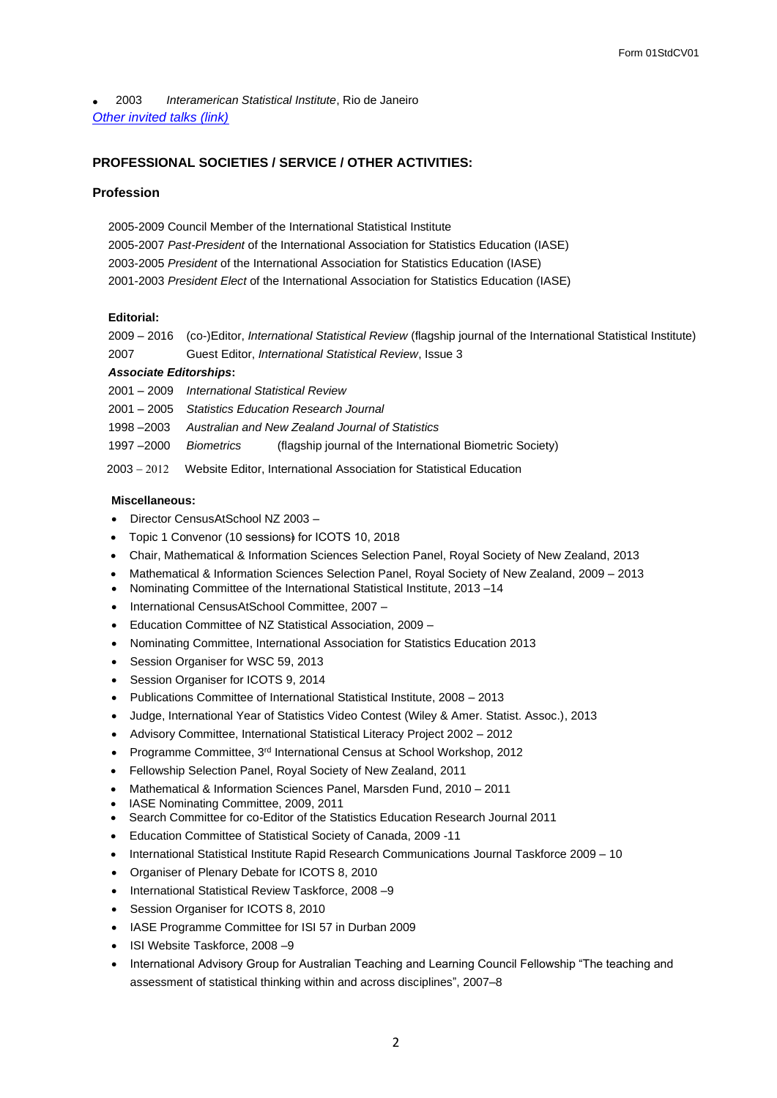• 2003 *Interamerican Statistical Institute*, Rio de Janeiro *[Other invited talks \(link\)](#page-10-0)*

# **PROFESSIONAL SOCIETIES / SERVICE / OTHER ACTIVITIES:**

# **Profession**

2005-2009 Council Member of the International Statistical Institute 2005-2007 *Past-President* of the International Association for Statistics Education (IASE) 2003-2005 *President* of the International Association for Statistics Education (IASE) 2001-2003 *President Elect* of the International Association for Statistics Education (IASE)

## **Editorial:**

2009 – 2016 (co-)Editor, *International Statistical Review* (flagship journal of the International Statistical Institute) 2007 Guest Editor, *International Statistical Review*, Issue 3

# *Associate Editorships***:**

2001 – 2009 *International Statistical Review*

2001 – 2005 *Statistics Education Research Journal*

1998 –2003 *Australian and New Zealand Journal of Statistics*

1997 –2000 *Biometrics* (flagship journal of the International Biometric Society)

2003 − Website Editor, International Association for Statistical Education

## **Miscellaneous:**

- Director CensusAtSchool NZ 2003 –
- Topic 1 Convenor (10 sessions) for ICOTS 10, 2018
- Chair, Mathematical & Information Sciences Selection Panel, Royal Society of New Zealand, 2013
- Mathematical & Information Sciences Selection Panel, Royal Society of New Zealand, 2009 2013
- Nominating Committee of the International Statistical Institute, 2013 –14
- International CensusAtSchool Committee, 2007 –
- Education Committee of NZ Statistical Association, 2009 –
- Nominating Committee, International Association for Statistics Education 2013
- Session Organiser for WSC 59, 2013
- Session Organiser for ICOTS 9, 2014
- Publications Committee of International Statistical Institute, 2008 2013
- Judge, International Year of Statistics Video Contest (Wiley & Amer. Statist. Assoc.), 2013
- Advisory Committee, International Statistical Literacy Project 2002 2012
- Programme Committee, 3rd International Census at School Workshop, 2012
- Fellowship Selection Panel, Royal Society of New Zealand, 2011
- Mathematical & Information Sciences Panel, Marsden Fund, 2010 2011
- IASE Nominating Committee, 2009, 2011
- Search Committee for co-Editor of the Statistics Education Research Journal 2011
- Education Committee of Statistical Society of Canada, 2009 -11
- International Statistical Institute Rapid Research Communications Journal Taskforce 2009 10
- Organiser of Plenary Debate for ICOTS 8, 2010
- International Statistical Review Taskforce, 2008 –9
- Session Organiser for ICOTS 8, 2010
- IASE Programme Committee for ISI 57 in Durban 2009
- ISI Website Taskforce, 2008 –9
- International Advisory Group for Australian Teaching and Learning Council Fellowship "The teaching and assessment of statistical thinking within and across disciplines", 2007–8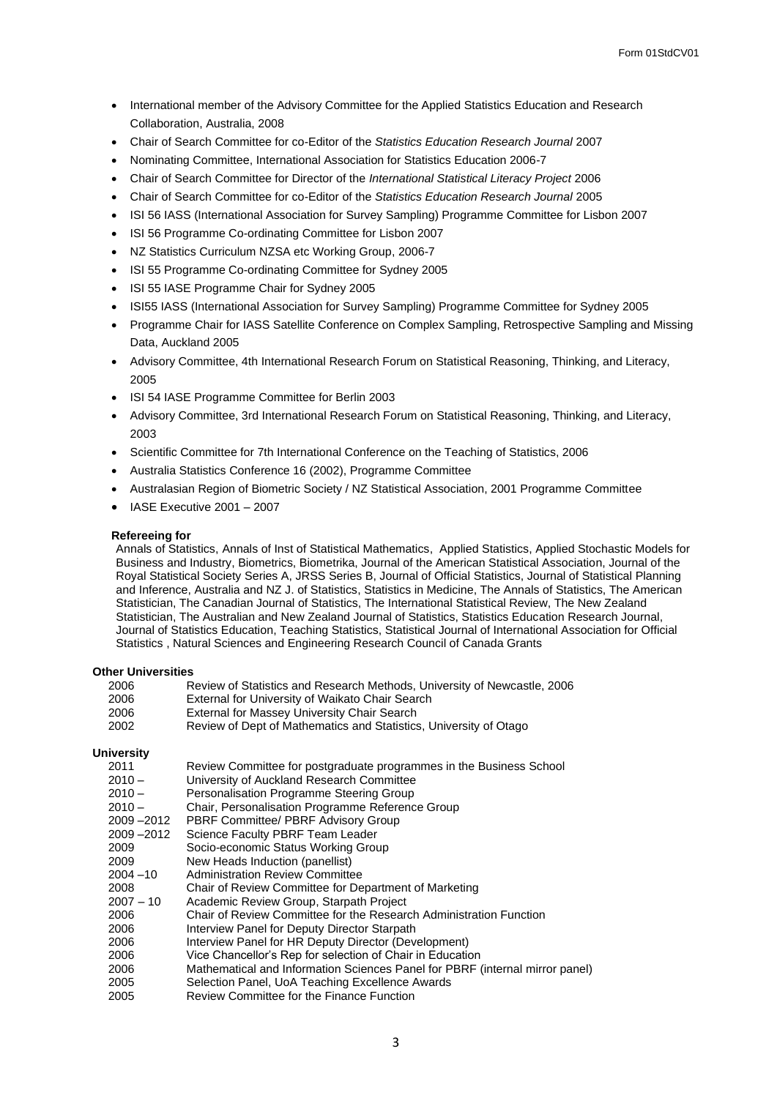- International member of the Advisory Committee for the Applied Statistics Education and Research Collaboration, Australia, 2008
- Chair of Search Committee for co-Editor of the *Statistics Education Research Journal* 2007
- Nominating Committee, International Association for Statistics Education 2006-7
- Chair of Search Committee for Director of the *International Statistical Literacy Project* 2006
- Chair of Search Committee for co-Editor of the *Statistics Education Research Journal* 2005
- ISI 56 IASS (International Association for Survey Sampling) Programme Committee for Lisbon 2007
- ISI 56 Programme Co-ordinating Committee for Lisbon 2007
- NZ Statistics Curriculum NZSA etc Working Group, 2006-7
- ISI 55 Programme Co-ordinating Committee for Sydney 2005
- ISI 55 IASE Programme Chair for Sydney 2005
- ISI55 IASS (International Association for Survey Sampling) Programme Committee for Sydney 2005
- Programme Chair for IASS Satellite Conference on Complex Sampling, Retrospective Sampling and Missing Data, Auckland 2005
- Advisory Committee, 4th International Research Forum on Statistical Reasoning, Thinking, and Literacy, 2005
- ISI 54 IASE Programme Committee for Berlin 2003
- Advisory Committee, 3rd International Research Forum on Statistical Reasoning, Thinking, and Literacy, 2003
- Scientific Committee for 7th International Conference on the Teaching of Statistics, 2006
- Australia Statistics Conference 16 (2002), Programme Committee
- Australasian Region of Biometric Society / NZ Statistical Association, 2001 Programme Committee
- IASE Executive 2001 2007

### **Refereeing for**

Annals of Statistics, Annals of Inst of Statistical Mathematics, Applied Statistics, Applied Stochastic Models for Business and Industry, Biometrics, Biometrika, Journal of the American Statistical Association, Journal of the Royal Statistical Society Series A, JRSS Series B, Journal of Official Statistics, Journal of Statistical Planning and Inference, Australia and NZ J. of Statistics, Statistics in Medicine, The Annals of Statistics, The American Statistician, The Canadian Journal of Statistics, The International Statistical Review, The New Zealand Statistician, The Australian and New Zealand Journal of Statistics, Statistics Education Research Journal, Journal of Statistics Education, Teaching Statistics, Statistical Journal of International Association for Official Statistics , Natural Sciences and Engineering Research Council of Canada Grants

#### **Other Universities**

| 2006 | Review of Statistics and Research Methods, University of Newcastle, 2006 |
|------|--------------------------------------------------------------------------|
| 2006 | External for University of Waikato Chair Search                          |
| 2006 | External for Massey University Chair Search                              |
| 2002 | Review of Dept of Mathematics and Statistics, University of Otago        |

#### **University**

- 2011 Review Committee for postgraduate programmes in the Business School
- 2010 University of Auckland Research Committee
- 2010 Personalisation Programme Steering Group
- 2010 Chair, Personalisation Programme Reference Group<br>2009 –2012 PBRF Committee/ PBRF Advisory Group
- 2009 –2012 PBRF Committee/ PBRF Advisory Group
- Science Faculty PBRF Team Leader
- 2009 Socio-economic Status Working Group
- 2009 New Heads Induction (panellist)
- 2004 –10 Administration Review Committee
- 2008 Chair of Review Committee for Department of Marketing<br>2007 10 Academic Review Group, Starpath Project
- Academic Review Group, Starpath Project
- 2006 Chair of Review Committee for the Research Administration Function
- 2006 Interview Panel for Deputy Director Starpath
- 2006 Interview Panel for HR Deputy Director (Development)<br>2006 Vice Chancellor's Rep for selection of Chair in Education
- Vice Chancellor's Rep for selection of Chair in Education
- 2006 Mathematical and Information Sciences Panel for PBRF (internal mirror panel)
- 2005 Selection Panel, UoA Teaching Excellence Awards
- 2005 Review Committee for the Finance Function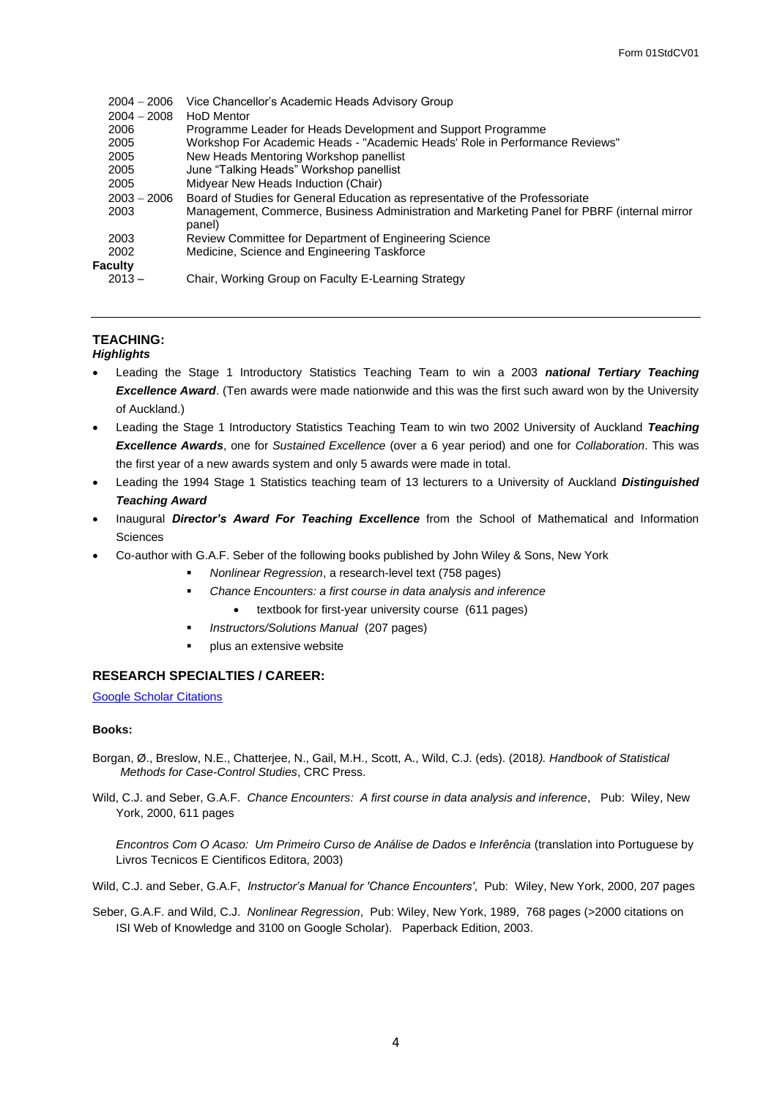| $2004 - 2006$  | Vice Chancellor's Academic Heads Advisory Group                                                       |
|----------------|-------------------------------------------------------------------------------------------------------|
| $2004 - 2008$  | HoD Mentor                                                                                            |
| 2006           | Programme Leader for Heads Development and Support Programme                                          |
| 2005           | Workshop For Academic Heads - "Academic Heads' Role in Performance Reviews"                           |
| 2005           | New Heads Mentoring Workshop panellist                                                                |
| 2005           | June "Talking Heads" Workshop panellist                                                               |
| 2005           | Midyear New Heads Induction (Chair)                                                                   |
| $2003 - 2006$  | Board of Studies for General Education as representative of the Professoriate                         |
| 2003           | Management, Commerce, Business Administration and Marketing Panel for PBRF (internal mirror<br>panel) |
| 2003           | Review Committee for Department of Engineering Science                                                |
| 2002           | Medicine, Science and Engineering Taskforce                                                           |
| <b>Faculty</b> |                                                                                                       |
| $2013 -$       | Chair, Working Group on Faculty E-Learning Strategy                                                   |

# **TEACHING:**

## *Highlights*

- Leading the Stage 1 Introductory Statistics Teaching Team to win a 2003 *national Tertiary Teaching Excellence Award*. (Ten awards were made nationwide and this was the first such award won by the University of Auckland.)
- Leading the Stage 1 Introductory Statistics Teaching Team to win two 2002 University of Auckland *Teaching Excellence Awards*, one for *Sustained Excellence* (over a 6 year period) and one for *Collaboration*. This was the first year of a new awards system and only 5 awards were made in total.
- Leading the 1994 Stage 1 Statistics teaching team of 13 lecturers to a University of Auckland *Distinguished Teaching Award*
- Inaugural *Director's Award For Teaching Excellence* from the School of Mathematical and Information **Sciences**
- Co-author with G.A.F. Seber of the following books published by John Wiley & Sons, New York
	- *Nonlinear Regression*, a research-level text (758 pages)
		- Chance Encounters: a first course in data analysis and inference
			- textbook for first-year university course (611 pages)
	- *Instructors/Solutions Manual* (207 pages)
	- plus an extensive website

# **RESEARCH SPECIALTIES / CAREER:**

[Google Scholar Citations](http://scholar.google.com/citations?hl=en&user=ajHVDS4AAAAJ)

## **Books:**

- Borgan, Ø., Breslow, N.E., Chatterjee, N., Gail, M.H., Scott, A., Wild, C.J. (eds). (2018*). Handbook of Statistical Methods for Case-Control Studies*, CRC Press.
- Wild, C.J. and Seber, G.A.F. *Chance Encounters: A first course in data analysis and inference*, Pub: Wiley, New York, 2000, 611 pages

*Encontros Com O Acaso: Um Primeiro Curso de Análise de Dados e Inferência* (translation into Portuguese by Livros Tecnicos E Cientificos Editora, 2003)

Wild, C.J. and Seber, G.A.F, *Instructor's Manual for 'Chance Encounters'*, Pub: Wiley, New York, 2000, 207 pages

Seber, G.A.F. and Wild, C.J. *Nonlinear Regression*, Pub: Wiley, New York, 1989, 768 pages (>2000 citations on ISI Web of Knowledge and 3100 on Google Scholar). Paperback Edition, 2003.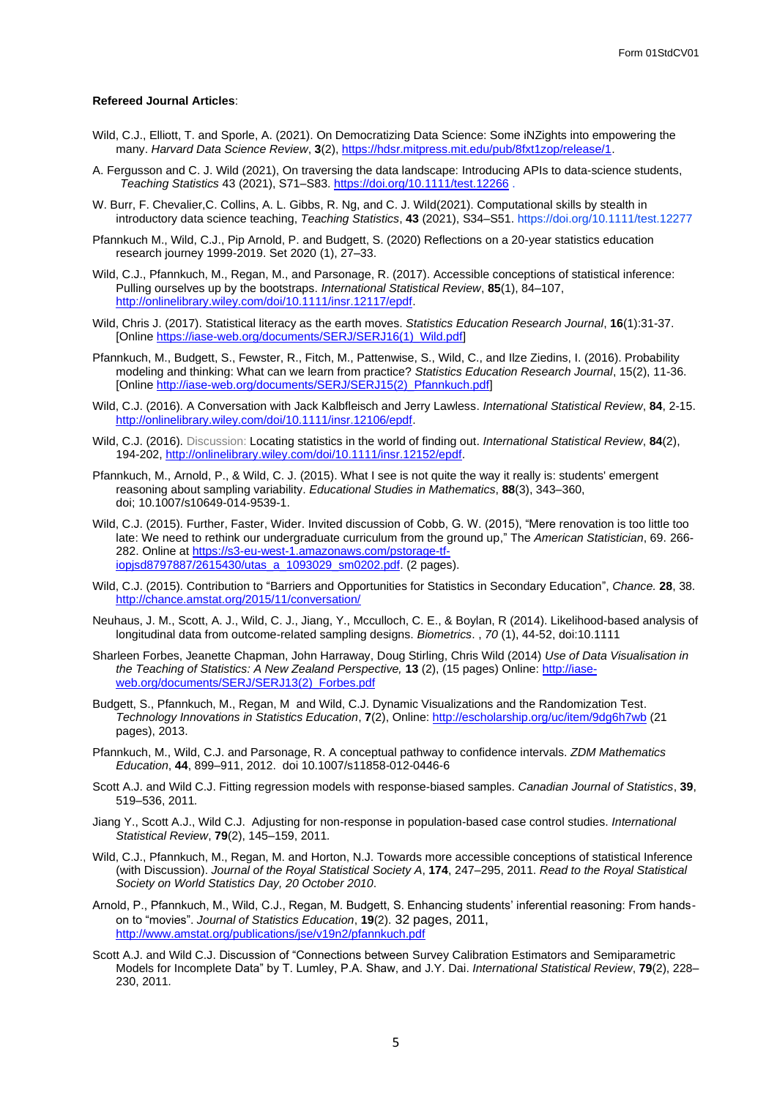#### **Refereed Journal Articles**:

- Wild, C.J., Elliott, T. and Sporle, A. (2021). On Democratizing Data Science: Some iNZights into empowering the many. *Harvard Data Science Review*, **3**(2), [https://hdsr.mitpress.mit.edu/pub/8fxt1zop/release/1.](https://hdsr.mitpress.mit.edu/pub/8fxt1zop/release/1)
- A. Fergusson and C. J. Wild (2021), On traversing the data landscape: Introducing APIs to data-science students, *Teaching Statistics* 43 (2021), S71–S83.<https://doi.org/10.1111/test.12266> .
- W. Burr, F. Chevalier,C. Collins, A. L. Gibbs, R. Ng, and C. J. Wild(2021). Computational skills by stealth in introductory data science teaching, *Teaching Statistics*, **43** (2021), S34–S51. https://doi.org/10.1111/test.12277
- Pfannkuch M., Wild, C.J., Pip Arnold, P. and Budgett, S. (2020) Reflections on a 20-year statistics education research journey 1999-2019. Set 2020 (1), 27–33.
- Wild, C.J., Pfannkuch, M., Regan, M., and Parsonage, R. (2017). Accessible conceptions of statistical inference: Pulling ourselves up by the bootstraps. *International Statistical Review*, **85**(1), 84–107, [http://onlinelibrary.wiley.com/doi/10.1111/insr.12117/epdf.](http://onlinelibrary.wiley.com/doi/10.1111/insr.12117/epdf)
- Wild, Chris J. (2017). Statistical literacy as the earth moves. *Statistics Education Research Journal*, **16**(1):31-37. [Online [https://iase-web.org/documents/SERJ/SERJ16\(1\)\\_Wild.pdf\]](https://iase-web.org/documents/SERJ/SERJ16(1)_Wild.pdf)
- Pfannkuch, M., Budgett, S., Fewster, R., Fitch, M., Pattenwise, S., Wild, C., and Ilze Ziedins, I. (2016). Probability modeling and thinking: What can we learn from practice? *Statistics Education Research Journal*, 15(2), 11-36. [Online [http://iase-web.org/documents/SERJ/SERJ15\(2\)\\_Pfannkuch.pdf\]](http://iase-web.org/documents/SERJ/SERJ15(2)_Pfannkuch.pdf)
- Wild, C.J. (2016). A Conversation with Jack Kalbfleisch and Jerry Lawless. *International Statistical Review*, **84**, 2-15. [http://onlinelibrary.wiley.com/doi/10.1111/insr.12106/epdf.](http://onlinelibrary.wiley.com/doi/10.1111/insr.12106/epdf)
- Wild, C.J. (2016). Discussion: Locating statistics in the world of finding out. *International Statistical Review*, **84**(2), 194-202, [http://onlinelibrary.wiley.com/doi/10.1111/insr.12152/epdf.](http://onlinelibrary.wiley.com/doi/10.1111/insr.12152/epdf)
- Pfannkuch, M., Arnold, P., & Wild, C. J. (2015). What I see is not quite the way it really is: students' emergent reasoning about sampling variability. *Educational Studies in Mathematics*, **88**(3), 343–360, doi; 10.1007/s10649-014-9539-1.
- Wild, C.J. (2015). Further, Faster, Wider. Invited discussion of Cobb, G. W. (2015), "Mere renovation is too little too late: We need to rethink our undergraduate curriculum from the ground up," The *American Statistician*, 69. 266- 282. Online a[t https://s3-eu-west-1.amazonaws.com/pstorage-tf](https://s3-eu-west-1.amazonaws.com/pstorage-tf-iopjsd8797887/2615430/utas_a_1093029_sm0202.pdf)[iopjsd8797887/2615430/utas\\_a\\_1093029\\_sm0202.pdf.](https://s3-eu-west-1.amazonaws.com/pstorage-tf-iopjsd8797887/2615430/utas_a_1093029_sm0202.pdf) (2 pages).
- Wild, C.J. (2015). Contribution to "Barriers and Opportunities for Statistics in Secondary Education", *Chance.* **28**, 38. <http://chance.amstat.org/2015/11/conversation/>
- Neuhaus, J. M., Scott, A. J., Wild, C. J., Jiang, Y., Mcculloch, C. E., & Boylan, R (2014). Likelihood-based analysis of longitudinal data from outcome-related sampling designs. *Biometrics*. , *70* (1), 44-52, doi:10.1111
- Sharleen Forbes, Jeanette Chapman, John Harraway, Doug Stirling, Chris Wild (2014) *Use of Data Visualisation in the Teaching of Statistics: A New Zealand Perspective,* **13** (2), (15 pages) Online[: http://iase](http://iase-web.org/documents/SERJ/SERJ13(2)_Forbes.pdf)[web.org/documents/SERJ/SERJ13\(2\)\\_Forbes.pdf](http://iase-web.org/documents/SERJ/SERJ13(2)_Forbes.pdf)
- Budgett, S., Pfannkuch, M., Regan, M and Wild, C.J. Dynamic Visualizations and the Randomization Test. *Technology Innovations in Statistics Education*, **7**(2), Online[: http://escholarship.org/uc/item/9dg6h7wb](http://escholarship.org/uc/item/9dg6h7wb) (21 pages), 2013.
- Pfannkuch, M., Wild, C.J. and Parsonage, R. A conceptual pathway to confidence intervals. *ZDM Mathematics Education*, **44**, 899–911, 2012. doi 10.1007/s11858-012-0446-6
- Scott A.J. and Wild C.J. Fitting regression models with response-biased samples. *Canadian Journal of Statistics*, **39**, 519–536, 2011*.*
- Jiang Y., Scott A.J., Wild C.J. Adjusting for non-response in population-based case control studies. *International Statistical Review*, **79**(2), 145–159, 2011*.*
- Wild, C.J., Pfannkuch, M., Regan, M. and Horton, N.J. Towards more accessible conceptions of statistical Inference (with Discussion). *Journal of the Royal Statistical Society A*, **174**, 247–295, 2011. *Read to the Royal Statistical Society on World Statistics Day, 20 October 2010*.
- Arnold, P., Pfannkuch, M., Wild, C.J., Regan, M. Budgett, S. Enhancing students' inferential reasoning: From handson to "movies". *Journal of Statistics Education*, **19**(2). 32 pages, 2011, <http://www.amstat.org/publications/jse/v19n2/pfannkuch.pdf>
- Scott A.J. and Wild C.J. Discussion of "Connections between Survey Calibration Estimators and Semiparametric Models for Incomplete Data" by T. Lumley, P.A. Shaw, and J.Y. Dai. *International Statistical Review*, **79**(2), 228– 230, 2011*.*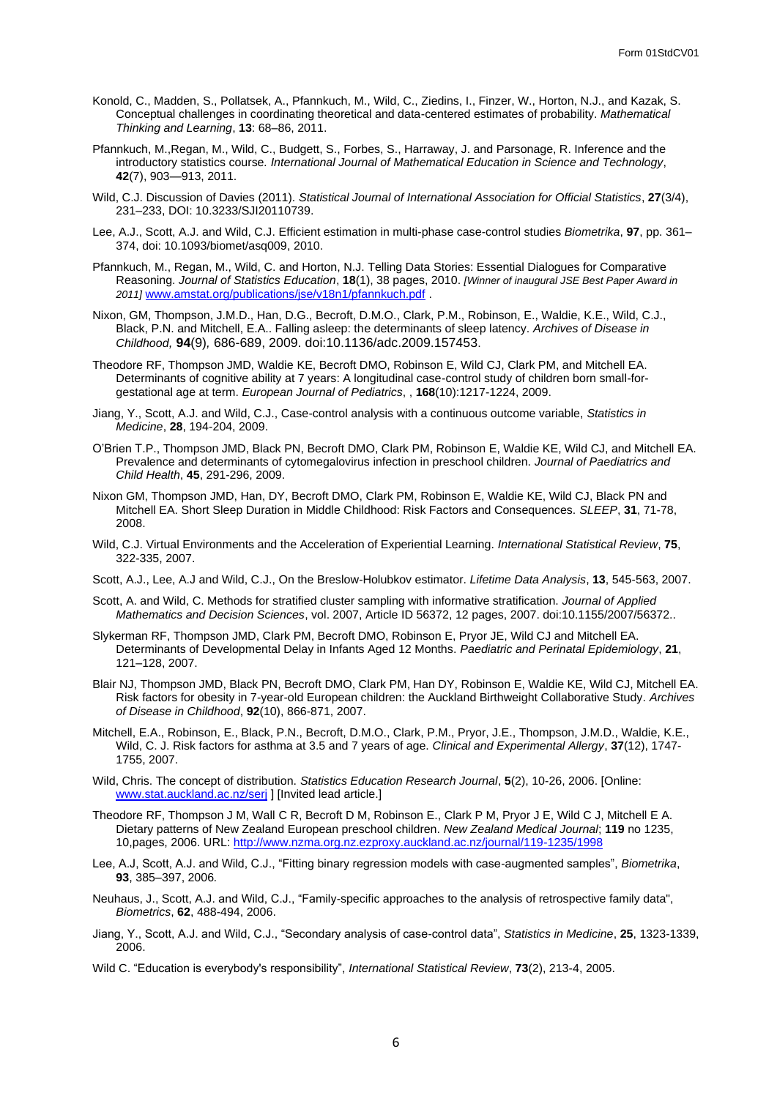- Konold, C., Madden, S., Pollatsek, A., Pfannkuch, M., Wild, C., Ziedins, I., Finzer, W., Horton, N.J., and Kazak, S. Conceptual challenges in coordinating theoretical and data-centered estimates of probability. *Mathematical Thinking and Learning*, **13**: 68–86, 2011.
- Pfannkuch, M.,Regan, M., Wild, C., Budgett, S., Forbes, S., Harraway, J. and Parsonage, R. Inference and the introductory statistics course*. International Journal of Mathematical Education in Science and Technology*, **42**(7), 903—913, 2011.
- Wild, C.J. Discussion of Davies (2011). *Statistical Journal of International Association for Official Statistics*, **27**(3/4), 231–233, DOI: 10.3233/SJI20110739.
- Lee, A.J., Scott, A.J. and Wild, C.J. Efficient estimation in multi-phase case-control studies *Biometrika*, **97**, pp. 361– 374, doi: 10.1093/biomet/asq009, 2010.
- Pfannkuch, M., Regan, M., Wild, C. and Horton, N.J. Telling Data Stories: Essential Dialogues for Comparative Reasoning. *Journal of Statistics Education*, **18**(1), 38 pages, 2010. *[Winner of inaugural JSE Best Paper Award in 2011]* [www.amstat.org/publications/jse/v18n1/pfannkuch.pdf](http://www.amstat.org/publications/jse/v18n1/pfannkuch.pdf) .
- Nixon, GM, Thompson, J.M.D., Han, D.G., Becroft, D.M.O., Clark, P.M., Robinson, E., Waldie, K.E., Wild, C.J., Black, P.N. and Mitchell, E.A.. Falling asleep: the determinants of sleep latency. *Archives of Disease in Childhood,* **94**(9)*,* 686-689, 2009. doi:10.1136/adc.2009.157453.
- Theodore RF, Thompson JMD, Waldie KE, Becroft DMO, Robinson E, Wild CJ, Clark PM, and Mitchell EA. Determinants of cognitive ability at 7 years: A longitudinal case-control study of children born small-forgestational age at term. *European Journal of Pediatrics*, , **168**(10):1217-1224, 2009.
- Jiang, Y., Scott, A.J. and Wild, C.J., Case-control analysis with a continuous outcome variable, *Statistics in Medicine*, **28**, 194-204, 2009.
- O'Brien T.P., Thompson JMD, Black PN, Becroft DMO, Clark PM, Robinson E, Waldie KE, Wild CJ, and Mitchell EA. Prevalence and determinants of cytomegalovirus infection in preschool children. *Journal of Paediatrics and Child Health*, **45**, 291-296, 2009.
- Nixon GM, Thompson JMD, Han, DY, Becroft DMO, Clark PM, Robinson E, Waldie KE, Wild CJ, Black PN and Mitchell EA. Short Sleep Duration in Middle Childhood: Risk Factors and Consequences. *SLEEP*, **31**, 71-78, 2008.
- Wild, C.J. Virtual Environments and the Acceleration of Experiential Learning. *International Statistical Review*, **75**, 322-335, 2007.
- Scott, A.J., Lee, A.J and Wild, C.J., On the Breslow-Holubkov estimator. *Lifetime Data Analysis*, **13**, 545-563, 2007.
- Scott, A. and Wild, C. Methods for stratified cluster sampling with informative stratification. *Journal of Applied Mathematics and Decision Sciences*, vol. 2007, Article ID 56372, 12 pages, 2007. doi:10.1155/2007/56372..
- Slykerman RF, Thompson JMD, Clark PM, Becroft DMO, Robinson E, Pryor JE, Wild CJ and Mitchell EA. Determinants of Developmental Delay in Infants Aged 12 Months. *Paediatric and Perinatal Epidemiology*, **21**, 121–128, 2007.
- Blair NJ, Thompson JMD, Black PN, Becroft DMO, Clark PM, Han DY, Robinson E, Waldie KE, Wild CJ, Mitchell EA. Risk factors for obesity in 7-year-old European children: the Auckland Birthweight Collaborative Study. *Archives of Disease in Childhood*, **92**(10), 866-871, 2007.
- Mitchell, E.A., Robinson, E., Black, P.N., Becroft, D.M.O., Clark, P.M., Pryor, J.E., Thompson, J.M.D., Waldie, K.E., Wild, C. J. Risk factors for asthma at 3.5 and 7 years of age. *Clinical and Experimental Allergy*, **37**(12), 1747- 1755, 2007.
- Wild, Chris. The concept of distribution. *Statistics Education Research Journal*, **5**(2), 10-26, 2006. [Online: [www.stat.auckland.ac.nz/serj](http://www.stat.auckland.ac.nz/serj) ] [Invited lead article.]
- Theodore RF, Thompson J M, Wall C R, Becroft D M, Robinson E., Clark P M, Pryor J E, Wild C J, Mitchell E A. Dietary patterns of New Zealand European preschool children. *New Zealand Medical Journal*; **119** no 1235, 10,pages, 2006. URL:<http://www.nzma.org.nz.ezproxy.auckland.ac.nz/journal/119-1235/1998>
- Lee, A.J, Scott, A.J. and Wild, C.J., "Fitting binary regression models with case-augmented samples", *Biometrika*, **93**, 385–397, 2006*.*
- Neuhaus, J., Scott, A.J. and Wild, C.J., "Family-specific approaches to the analysis of retrospective family data", *Biometrics*, **62**, 488-494, 2006.
- Jiang, Y., Scott, A.J. and Wild, C.J., "Secondary analysis of case-control data", *Statistics in Medicine*, **25**, 1323-1339, 2006.
- Wild C. "Education is everybody's responsibility", *International Statistical Review*, **73**(2), 213-4, 2005.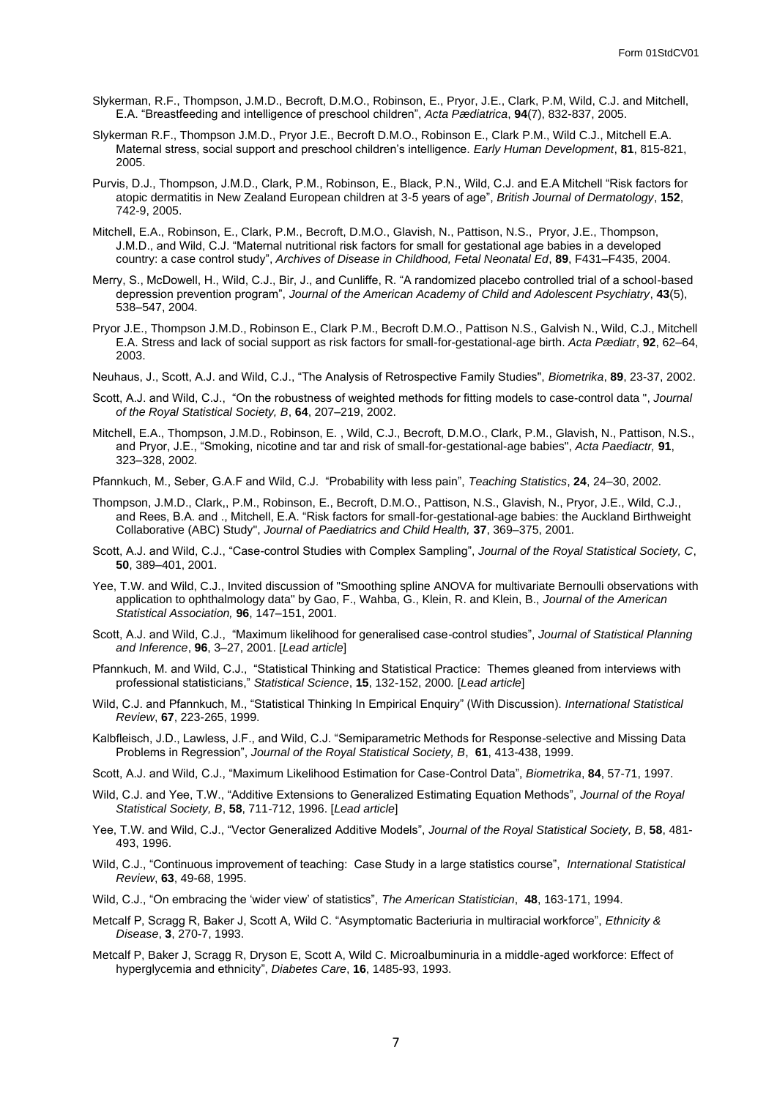- Slykerman, R.F., Thompson, J.M.D., Becroft, D.M.O., Robinson, E., Pryor, J.E., Clark, P.M, Wild, C.J. and Mitchell, E.A. "Breastfeeding and intelligence of preschool children", *Acta Pædiatrica*, **94**(7), 832-837, 2005.
- Slykerman R.F., Thompson J.M.D., Pryor J.E., Becroft D.M.O., Robinson E., Clark P.M., Wild C.J., Mitchell E.A. Maternal stress, social support and preschool children's intelligence. *Early Human Development*, **81**, 815-821, 2005.
- Purvis, D.J., Thompson, J.M.D., Clark, P.M., Robinson, E., Black, P.N., Wild, C.J. and E.A Mitchell "Risk factors for atopic dermatitis in New Zealand European children at 3-5 years of age", *British Journal of Dermatology*, **152**, 742-9, 2005.
- Mitchell, E.A., Robinson, E., Clark, P.M., Becroft, D.M.O., Glavish, N., Pattison, N.S., Pryor, J.E., Thompson, J.M.D., and Wild, C.J. "Maternal nutritional risk factors for small for gestational age babies in a developed country: a case control study", *Archives of Disease in Childhood, Fetal Neonatal Ed*, **89**, F431–F435, 2004.
- Merry, S., McDowell, H., Wild, C.J., Bir, J., and Cunliffe, R. "A randomized placebo controlled trial of a school-based depression prevention program", *Journal of the American Academy of Child and Adolescent Psychiatry*, **43**(5), 538–547, 2004.
- Pryor J.E., Thompson J.M.D., Robinson E., Clark P.M., Becroft D.M.O., Pattison N.S., Galvish N., Wild, C.J., Mitchell E.A. Stress and lack of social support as risk factors for small-for-gestational-age birth. *Acta Pædiatr*, **92**, 62–64, 2003.
- Neuhaus, J., Scott, A.J. and Wild, C.J., "The Analysis of Retrospective Family Studies", *Biometrika*, **89**, 23-37, 2002.
- Scott, A.J. and Wild, C.J., "On the robustness of weighted methods for fitting models to case-control data ", *Journal of the Royal Statistical Society, B*, **64**, 207–219, 2002.
- Mitchell, E.A., Thompson, J.M.D., Robinson, E. , Wild, C.J., Becroft, D.M.O., Clark, P.M., Glavish, N., Pattison, N.S., and Pryor, J.E., "Smoking, nicotine and tar and risk of small-for-gestational-age babies", *Acta Paediactr,* **91**, 323–328, 2002*.*
- Pfannkuch, M., Seber, G.A.F and Wild, C.J. "Probability with less pain", *Teaching Statistics*, **24**, 24–30, 2002*.*
- Thompson, J.M.D., Clark,, P.M., Robinson, E., Becroft, D.M.O., Pattison, N.S., Glavish, N., Pryor, J.E., Wild, C.J., and Rees, B.A. and ., Mitchell, E.A. "Risk factors for small-for-gestational-age babies: the Auckland Birthweight Collaborative (ABC) Study", *Journal of Paediatrics and Child Health,* **37**, 369–375, 2001*.*
- Scott, A.J. and Wild, C.J., "Case-control Studies with Complex Sampling", *Journal of the Royal Statistical Society, C*, **50**, 389–401, 2001.
- Yee, T.W. and Wild, C.J., Invited discussion of "Smoothing spline ANOVA for multivariate Bernoulli observations with application to ophthalmology data" by Gao, F., Wahba, G., Klein, R. and Klein, B., *Journal of the American Statistical Association,* **96**, 147–151, 2001*.*
- Scott, A.J. and Wild, C.J., "Maximum likelihood for generalised case-control studies", *Journal of Statistical Planning and Inference*, **96**, 3–27, 2001. [*Lead article*]
- Pfannkuch, M. and Wild, C.J., "Statistical Thinking and Statistical Practice: Themes gleaned from interviews with professional statisticians," *Statistical Science*, **15**, 132-152, 2000*.* [*Lead article*]
- Wild, C.J. and Pfannkuch, M., "Statistical Thinking In Empirical Enquiry" (With Discussion). *International Statistical Review*, **67**, 223-265, 1999.
- Kalbfleisch, J.D., Lawless, J.F., and Wild, C.J. "Semiparametric Methods for Response-selective and Missing Data Problems in Regression", *Journal of the Royal Statistical Society, B*, **61**, 413-438, 1999.
- Scott, A.J. and Wild, C.J., "Maximum Likelihood Estimation for Case-Control Data", *Biometrika*, **84**, 57-71, 1997.
- Wild, C.J. and Yee, T.W., "Additive Extensions to Generalized Estimating Equation Methods", *Journal of the Royal Statistical Society, B*, **58**, 711-712, 1996. [*Lead article*]
- Yee, T.W. and Wild, C.J., "Vector Generalized Additive Models", *Journal of the Royal Statistical Society, B*, **58**, 481- 493, 1996.
- Wild, C.J., "Continuous improvement of teaching: Case Study in a large statistics course", *International Statistical Review*, **63**, 49-68, 1995.
- Wild, C.J., "On embracing the 'wider view' of statistics", *The American Statistician*, **48**, 163-171, 1994.
- Metcalf P, Scragg R, Baker J, Scott A, Wild C. "Asymptomatic Bacteriuria in multiracial workforce", *Ethnicity & Disease*, **3**, 270-7, 1993.
- Metcalf P, Baker J, Scragg R, Dryson E, Scott A, Wild C. Microalbuminuria in a middle-aged workforce: Effect of hyperglycemia and ethnicity", *Diabetes Care*, **16**, 1485-93, 1993.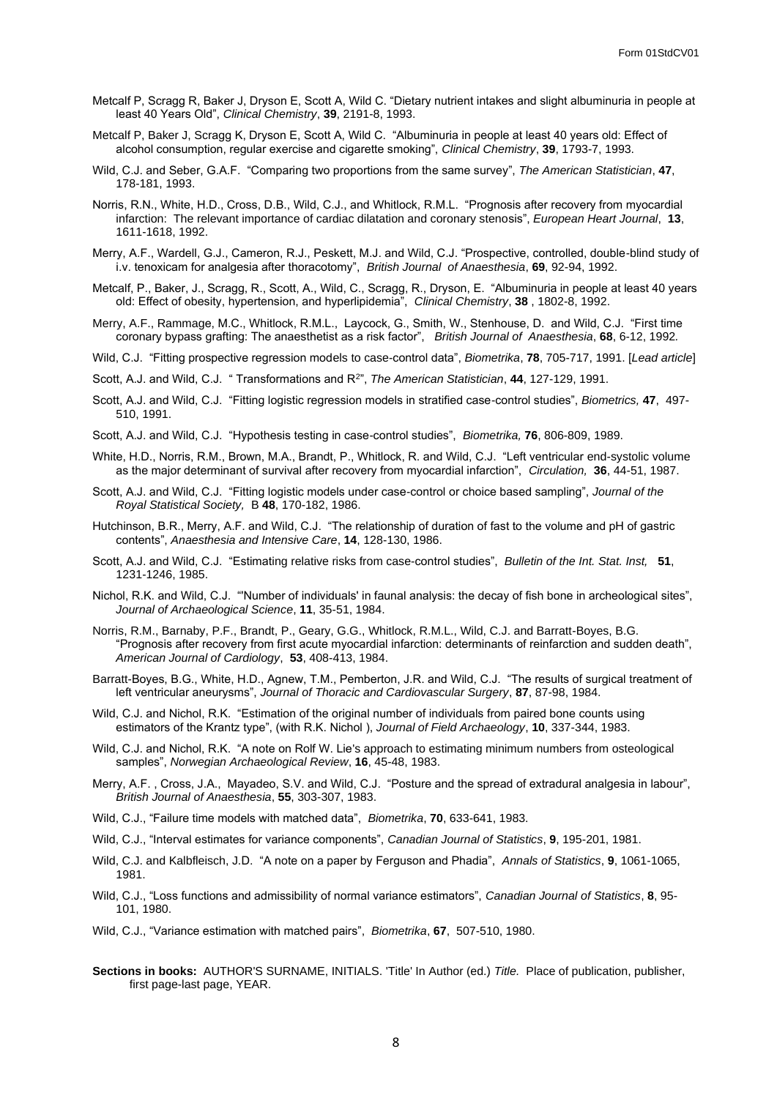- Metcalf P, Scragg R, Baker J, Dryson E, Scott A, Wild C. "Dietary nutrient intakes and slight albuminuria in people at least 40 Years Old", *Clinical Chemistry*, **39**, 2191-8, 1993.
- Metcalf P, Baker J, Scragg K, Dryson E, Scott A, Wild C. "Albuminuria in people at least 40 years old: Effect of alcohol consumption, regular exercise and cigarette smoking", *Clinical Chemistry*, **39**, 1793-7, 1993.
- Wild, C.J. and Seber, G.A.F. "Comparing two proportions from the same survey", *The American Statistician*, **47**, 178-181, 1993.
- Norris, R.N., White, H.D., Cross, D.B., Wild, C.J., and Whitlock, R.M.L. "Prognosis after recovery from myocardial infarction: The relevant importance of cardiac dilatation and coronary stenosis", *European Heart Journal*, **13**, 1611-1618, 1992.
- Merry, A.F., Wardell, G.J., Cameron, R.J., Peskett, M.J. and Wild, C.J. "Prospective, controlled, double-blind study of i.v. tenoxicam for analgesia after thoracotomy", *British Journal of Anaesthesia*, **69**, 92-94, 1992.
- Metcalf, P., Baker, J., Scragg, R., Scott, A., Wild, C., Scragg, R., Dryson, E. "Albuminuria in people at least 40 years old: Effect of obesity, hypertension, and hyperlipidemia", *Clinical Chemistry*, **38** , 1802-8, 1992.
- Merry, A.F., Rammage, M.C., Whitlock, R.M.L., Laycock, G., Smith, W., Stenhouse, D. and Wild, C.J. "First time coronary bypass grafting: The anaesthetist as a risk factor", *British Journal of Anaesthesia*, **68**, 6-12, 1992*.*
- Wild, C.J. "Fitting prospective regression models to case-control data", *Biometrika*, **78**, 705-717, 1991. [*Lead article*]
- Scott, A.J. and Wild, C.J. " Transformations and R<sup>2</sup> ", *The American Statistician*, **44**, 127-129, 1991.
- Scott, A.J. and Wild, C.J. "Fitting logistic regression models in stratified case-control studies", *Biometrics,* **47**, 497- 510, 1991.
- Scott, A.J. and Wild, C.J. "Hypothesis testing in case-control studies", *Biometrika,* **76**, 806-809, 1989.
- White, H.D., Norris, R.M., Brown, M.A., Brandt, P., Whitlock, R. and Wild, C.J. "Left ventricular end-systolic volume as the major determinant of survival after recovery from myocardial infarction", *Circulation,* **36**, 44-51, 1987.
- Scott, A.J. and Wild, C.J. "Fitting logistic models under case-control or choice based sampling", *Journal of the Royal Statistical Society,* B **48**, 170-182, 1986.
- Hutchinson, B.R., Merry, A.F. and Wild, C.J. "The relationship of duration of fast to the volume and pH of gastric contents", *Anaesthesia and Intensive Care*, **14**, 128-130, 1986.
- Scott, A.J. and Wild, C.J. "Estimating relative risks from case-control studies", *Bulletin of the Int. Stat. Inst,* **51**, 1231-1246, 1985.
- Nichol, R.K. and Wild, C.J. "'Number of individuals' in faunal analysis: the decay of fish bone in archeological sites", *Journal of Archaeological Science*, **11**, 35-51, 1984.
- Norris, R.M., Barnaby, P.F., Brandt, P., Geary, G.G., Whitlock, R.M.L., Wild, C.J. and Barratt-Boyes, B.G. "Prognosis after recovery from first acute myocardial infarction: determinants of reinfarction and sudden death", *American Journal of Cardiology*, **53**, 408-413, 1984.
- Barratt-Boyes, B.G., White, H.D., Agnew, T.M., Pemberton, J.R. and Wild, C.J. "The results of surgical treatment of left ventricular aneurysms", *Journal of Thoracic and Cardiovascular Surgery*, **87**, 87-98, 1984.
- Wild, C.J. and Nichol, R.K. "Estimation of the original number of individuals from paired bone counts using estimators of the Krantz type", (with R.K. Nichol ), *Journal of Field Archaeology*, **10**, 337-344, 1983.
- Wild, C.J. and Nichol, R.K. "A note on Rolf W. Lie's approach to estimating minimum numbers from osteological samples", *Norwegian Archaeological Review*, **16**, 45-48, 1983.
- Merry, A.F. , Cross, J.A., Mayadeo, S.V. and Wild, C.J. "Posture and the spread of extradural analgesia in labour", *British Journal of Anaesthesia*, **55**, 303-307, 1983.
- Wild, C.J., "Failure time models with matched data", *Biometrika*, **70**, 633-641, 1983.
- Wild, C.J., "Interval estimates for variance components", *Canadian Journal of Statistics*, **9**, 195-201, 1981.
- Wild, C.J. and Kalbfleisch, J.D. "A note on a paper by Ferguson and Phadia", *Annals of Statistics*, **9**, 1061-1065, 1981.
- Wild, C.J., "Loss functions and admissibility of normal variance estimators", *Canadian Journal of Statistics*, **8**, 95- 101, 1980.
- Wild, C.J., "Variance estimation with matched pairs", *Biometrika*, **67**, 507-510, 1980.
- **Sections in books:** AUTHOR'S SURNAME, INITIALS. 'Title' In Author (ed.) *Title.* Place of publication, publisher, first page-last page, YEAR.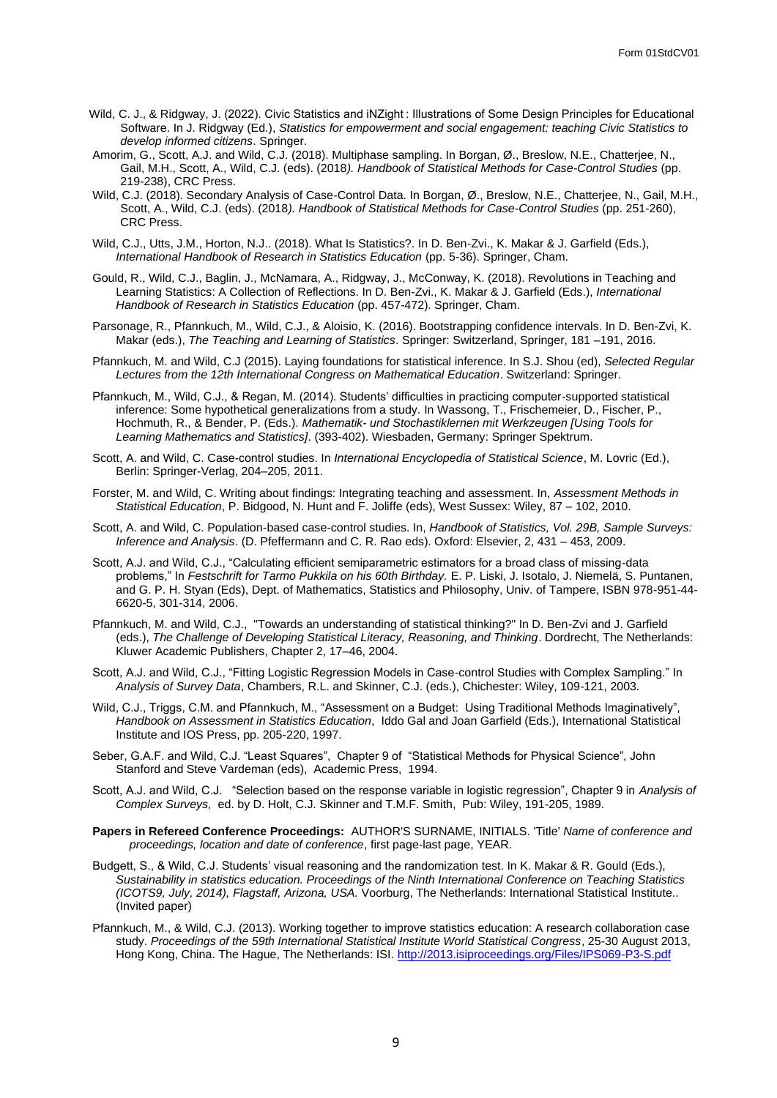- Wild, C. J., & Ridgway, J. (2022). Civic Statistics and iNZight : Illustrations of Some Design Principles for Educational Software. In J. Ridgway (Ed.), *Statistics for empowerment and social engagement: teaching Civic Statistics to develop informed citizens*. Springer.
- Amorim, G., Scott, A.J. and Wild, C.J. (2018). Multiphase sampling. In Borgan, Ø., Breslow, N.E., Chatterjee, N., Gail, M.H., Scott, A., Wild, C.J. (eds). (2018*). Handbook of Statistical Methods for Case-Control Studies* (pp. 219-238), CRC Press.
- Wild, C.J. (2018). Secondary Analysis of Case-Control Data. In Borgan, Ø., Breslow, N.E., Chatterjee, N., Gail, M.H., Scott, A., Wild, C.J. (eds). (2018*). Handbook of Statistical Methods for Case-Control Studies* (pp. 251-260), CRC Press.
- Wild, C.J., Utts, J.M., Horton, N.J.. (2018). What Is Statistics?. In D. Ben-Zvi., K. Makar & J. Garfield (Eds.), *International Handbook of Research in Statistics Education* (pp. 5-36). Springer, Cham.
- Gould, R., Wild, C.J., Baglin, J., McNamara, A., Ridgway, J., McConway, K. (2018). Revolutions in Teaching and Learning Statistics: A Collection of Reflections. In D. Ben-Zvi., K. Makar & J. Garfield (Eds.), *International Handbook of Research in Statistics Education* (pp. 457-472). Springer, Cham.
- Parsonage, R., Pfannkuch, M., Wild, C.J., & Aloisio, K. (2016). Bootstrapping confidence intervals. In D. Ben-Zvi, K. Makar (eds.), *The Teaching and Learning of Statistics*. Springer: Switzerland, Springer, 181 –191, 2016.
- Pfannkuch, M. and Wild, C.J (2015). Laying foundations for statistical inference. In S.J. Shou (ed), *Selected Regular Lectures from the 12th International Congress on Mathematical Education*. Switzerland: Springer.
- Pfannkuch, M., Wild, C.J., & Regan, M. (2014). Students' difficulties in practicing computer-supported statistical inference: Some hypothetical generalizations from a study. In Wassong, T., Frischemeier, D., Fischer, P., Hochmuth, R., & Bender, P. (Eds.). *Mathematik- und Stochastiklernen mit Werkzeugen [Using Tools for Learning Mathematics and Statistics]*. (393-402). Wiesbaden, Germany: Springer Spektrum.
- Scott, A. and Wild, C. Case-control studies. In *International Encyclopedia of Statistical Science*, M. Lovric (Ed.), Berlin: Springer-Verlag, 204–205, 2011.
- Forster, M. and Wild, C. Writing about findings: Integrating teaching and assessment. In, *Assessment Methods in Statistical Education*, P. Bidgood, N. Hunt and F. Joliffe (eds), West Sussex: Wiley, 87 – 102, 2010.
- Scott, A. and Wild, C. Population-based case-control studies. In, *Handbook of Statistics, Vol. 29B, Sample Surveys: Inference and Analysis*. (D. Pfeffermann and C. R. Rao eds). Oxford: Elsevier, 2, 431 – 453, 2009.
- Scott, A.J. and Wild, C.J., "Calculating efficient semiparametric estimators for a broad class of missing-data problems," In *Festschrift for Tarmo Pukkila on his 60th Birthday.* E. P. Liski, J. Isotalo, J. Niemelä, S. Puntanen, and G. P. H. Styan (Eds), Dept. of Mathematics, Statistics and Philosophy, Univ. of Tampere, ISBN 978-951-44- 6620-5, 301-314, 2006.
- Pfannkuch, M. and Wild, C.J., "Towards an understanding of statistical thinking?" In D. Ben-Zvi and J. Garfield (eds.), *The Challenge of Developing Statistical Literacy, Reasoning, and Thinking*. Dordrecht, The Netherlands: Kluwer Academic Publishers, Chapter 2, 17–46, 2004.
- Scott, A.J. and Wild, C.J., "Fitting Logistic Regression Models in Case-control Studies with Complex Sampling." In *Analysis of Survey Data*, Chambers, R.L. and Skinner, C.J. (eds.), Chichester: Wiley, 109-121, 2003*.*
- Wild, C.J., Triggs, C.M. and Pfannkuch, M., "Assessment on a Budget: Using Traditional Methods Imaginatively", *Handbook on Assessment in Statistics Education*, Iddo Gal and Joan Garfield (Eds.), International Statistical Institute and IOS Press, pp. 205-220, 1997.
- Seber, G.A.F. and Wild, C.J. "Least Squares", Chapter 9 of "Statistical Methods for Physical Science", John Stanford and Steve Vardeman (eds), Academic Press, 1994.
- Scott, A.J. and Wild, C.J. "Selection based on the response variable in logistic regression", Chapter 9 in *Analysis of Complex Surveys,* ed. by D. Holt, C.J. Skinner and T.M.F. Smith, Pub: Wiley, 191-205, 1989.
- **Papers in Refereed Conference Proceedings:** AUTHOR'S SURNAME, INITIALS. 'Title' *Name of conference and proceedings, location and date of conference*, first page-last page, YEAR.
- Budgett, S., & Wild, C.J. Students' visual reasoning and the randomization test. In K. Makar & R. Gould (Eds.), *Sustainability in statistics education. Proceedings of the Ninth International Conference on Teaching Statistics (ICOTS9, July, 2014), Flagstaff, Arizona, USA.* Voorburg, The Netherlands: International Statistical Institute.. (Invited paper)
- Pfannkuch, M., & Wild, C.J. (2013). Working together to improve statistics education: A research collaboration case study. *Proceedings of the 59th International Statistical Institute World Statistical Congress*, 25-30 August 2013, Hong Kong, China. The Hague, The Netherlands: ISI[. http://2013.isiproceedings.org/Files/IPS069-P3-S.pdf](http://2013.isiproceedings.org/Files/IPS069-P3-S.pdf)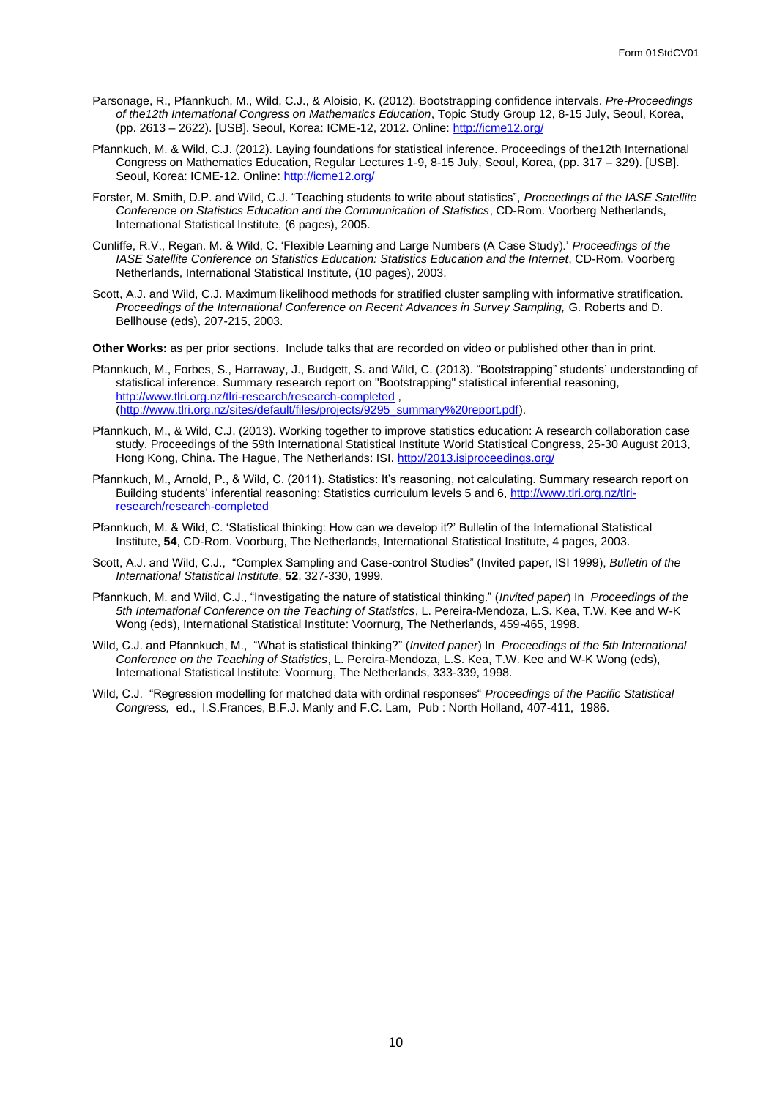- Parsonage, R., Pfannkuch, M., Wild, C.J., & Aloisio, K. (2012). Bootstrapping confidence intervals. *Pre-Proceedings of the12th International Congress on Mathematics Education*, Topic Study Group 12, 8-15 July, Seoul, Korea, (pp. 2613 – 2622). [USB]. Seoul, Korea: ICME-12, 2012. Online:<http://icme12.org/>
- Pfannkuch, M. & Wild, C.J. (2012). Laying foundations for statistical inference. Proceedings of the12th International Congress on Mathematics Education, Regular Lectures 1-9, 8-15 July, Seoul, Korea, (pp. 317 – 329). [USB]. Seoul, Korea: ICME-12. Online[: http://icme12.org/](http://icme12.org/)
- Forster, M. Smith, D.P. and Wild, C.J. "Teaching students to write about statistics", *Proceedings of the IASE Satellite Conference on Statistics Education and the Communication of Statistics*, CD-Rom. Voorberg Netherlands, International Statistical Institute, (6 pages), 2005.
- Cunliffe, R.V., Regan. M. & Wild, C. 'Flexible Learning and Large Numbers (A Case Study).' *Proceedings of the IASE Satellite Conference on Statistics Education: Statistics Education and the Internet*, CD-Rom. Voorberg Netherlands, International Statistical Institute, (10 pages), 2003.
- Scott, A.J. and Wild, C.J. Maximum likelihood methods for stratified cluster sampling with informative stratification. *Proceedings of the International Conference on Recent Advances in Survey Sampling,* G. Roberts and D. Bellhouse (eds), 207-215, 2003.

**Other Works:** as per prior sections. Include talks that are recorded on video or published other than in print.

- Pfannkuch, M., Forbes, S., Harraway, J., Budgett, S. and Wild, C. (2013). "Bootstrapping" students' understanding of statistical inference. Summary research report on "Bootstrapping" statistical inferential reasoning, <http://www.tlri.org.nz/tlri-research/research-completed> , [\(http://www.tlri.org.nz/sites/default/files/projects/9295\\_summary%20report.pdf\)](http://www.tlri.org.nz/sites/default/files/projects/9295_summary%20report.pdf).
- Pfannkuch, M., & Wild, C.J. (2013). Working together to improve statistics education: A research collaboration case study. Proceedings of the 59th International Statistical Institute World Statistical Congress, 25-30 August 2013, Hong Kong, China. The Hague, The Netherlands: ISI[. http://2013.isiproceedings.org/](http://2013.isiproceedings.org/)
- Pfannkuch, M., Arnold, P., & Wild, C. (2011). Statistics: It's reasoning, not calculating. Summary research report on Building students' inferential reasoning: Statistics curriculum levels 5 and 6, [http://www.tlri.org.nz/tlri](http://www.tlri.org.nz/tlri-research/research-completed)[research/research-completed](http://www.tlri.org.nz/tlri-research/research-completed)
- Pfannkuch, M. & Wild, C. 'Statistical thinking: How can we develop it?' Bulletin of the International Statistical Institute, **54**, CD-Rom. Voorburg, The Netherlands, International Statistical Institute, 4 pages, 2003.
- Scott, A.J. and Wild, C.J., "Complex Sampling and Case-control Studies" (Invited paper, ISI 1999), *Bulletin of the International Statistical Institute*, **52**, 327-330, 1999*.*
- Pfannkuch, M. and Wild, C.J., "Investigating the nature of statistical thinking." (*Invited paper*) In *Proceedings of the 5th International Conference on the Teaching of Statistics*, L. Pereira-Mendoza, L.S. Kea, T.W. Kee and W-K Wong (eds), International Statistical Institute: Voornurg, The Netherlands, 459-465, 1998.
- Wild, C.J. and Pfannkuch, M., "What is statistical thinking?" (*Invited paper*) In *Proceedings of the 5th International Conference on the Teaching of Statistics*, L. Pereira-Mendoza, L.S. Kea, T.W. Kee and W-K Wong (eds), International Statistical Institute: Voornurg, The Netherlands, 333-339, 1998.
- Wild, C.J. "Regression modelling for matched data with ordinal responses" *Proceedings of the Pacific Statistical Congress,* ed., I.S.Frances, B.F.J. Manly and F.C. Lam, Pub : North Holland, 407-411, 1986.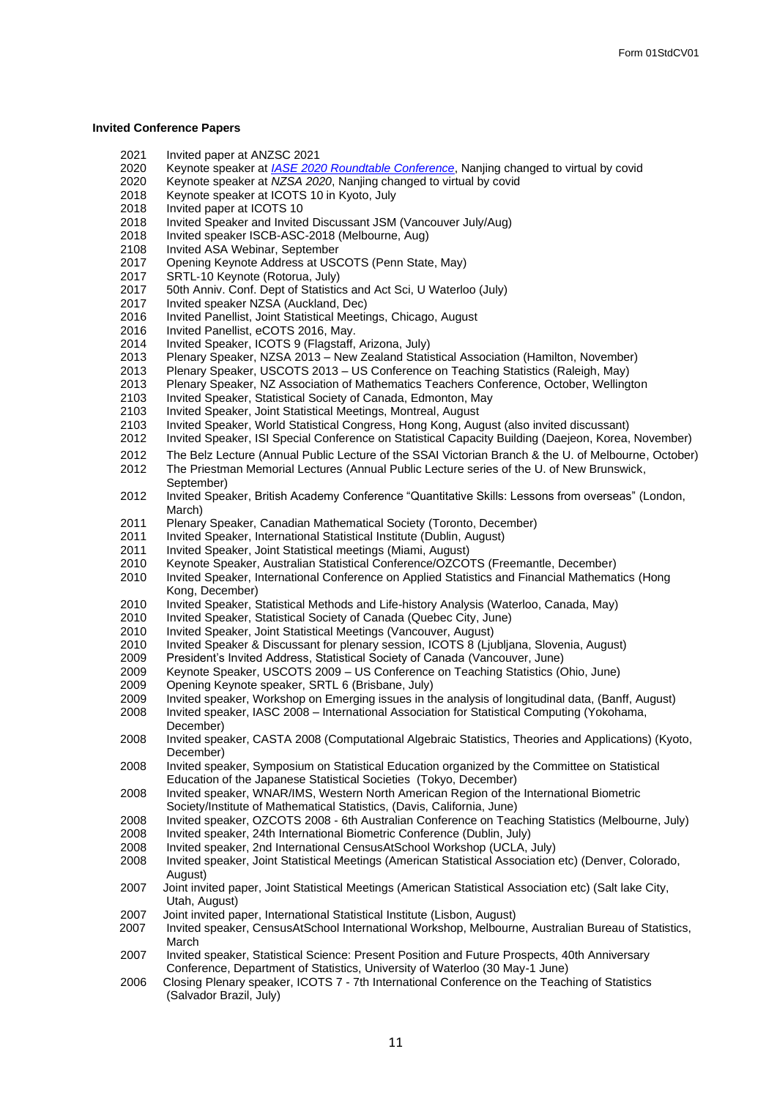#### <span id="page-10-0"></span>**Invited Conference Papers**

- 2021 Invited paper at ANZSC 2021<br>2020 Kevnote speaker at *IASE 202*
- 2020 Keynote speaker at *[IASE 2020 Roundtable Conference](https://www.stat.auckland.ac.nz/~wild/talks/IASE2020/)*, Nanjing changed to virtual by covid
- 2020 Keynote speaker at *NZSA 2020*, Nanjing changed to virtual by covid
- 2018 Keynote speaker at ICOTS 10 in Kyoto, July<br>2018 Invited paper at ICOTS 10
- Invited paper at ICOTS 10
- 2018 Invited Speaker and Invited Discussant JSM (Vancouver July/Aug)<br>2018 Invited speaker ISCB-ASC-2018 (Melbourne, Aug)
- 2018 Invited speaker ISCB-ASC-2018 (Melbourne, Aug)<br>2108 Invited ASA Webinar, September
- 2108 Invited ASA Webinar, September<br>2017 Opening Keynote Address at USO
- 2017 Opening Keynote Address at USCOTS (Penn State, May)
- 2017 SRTL-10 Keynote (Rotorua, July)<br>2017 50th Anniv. Conf. Dept of Statistic
- 50th Anniv. Conf. Dept of Statistics and Act Sci, U Waterloo (July)
- 2017 Invited speaker NZSA (Auckland, Dec)
- 2016 Invited Panellist, Joint Statistical Meetings, Chicago, August
- 2016 Invited Panellist, eCOTS 2016, May.<br>2014 Invited Speaker. ICOTS 9 (Flagstaff.
- 2014 Invited Speaker, ICOTS 9 (Flagstaff, Arizona, July)
- 2013 Plenary Speaker, NZSA 2013 New Zealand Statistical Association (Hamilton, November)
- 2013 Plenary Speaker, USCOTS 2013 US Conference on Teaching Statistics (Raleigh, May)
- 2013 Plenary Speaker, NZ Association of Mathematics Teachers Conference, October, Wellington<br>2103 Invited Speaker, Statistical Society of Canada, Edmonton, May
- 2103 Invited Speaker, Statistical Society of Canada, Edmonton, May
- 2103 Invited Speaker, Joint Statistical Meetings, Montreal, August
- 2103 Invited Speaker, World Statistical Congress, Hong Kong, August (also invited discussant)
- 2012 Invited Speaker, ISI Special Conference on Statistical Capacity Building (Daejeon, Korea, November)
- 2012 The Belz Lecture (Annual Public Lecture of the SSAI Victorian Branch & the U. of Melbourne, October)<br>2012 The Priestman Memorial Lectures (Annual Public Lecture series of the U. of New Brunswick.
- The Priestman Memorial Lectures (Annual Public Lecture series of the U. of New Brunswick, September)
- 2012 Invited Speaker, British Academy Conference "Quantitative Skills: Lessons from overseas" (London, March)
- 2011 Plenary Speaker, Canadian Mathematical Society (Toronto, December)<br>2011 Invited Speaker, International Statistical Institute (Dublin, August)
- 2011 Invited Speaker, International Statistical Institute (Dublin, August)<br>2011 Invited Speaker, Joint Statistical meetings (Miami, August)
- 2011 Invited Speaker, Joint Statistical meetings (Miami, August)
- Keynote Speaker, Australian Statistical Conference/OZCOTS (Freemantle, December)
- 2010 Invited Speaker, International Conference on Applied Statistics and Financial Mathematics (Hong Kong, December)
- 2010 Invited Speaker, Statistical Methods and Life-history Analysis (Waterloo, Canada, May)
- 2010 Invited Speaker, Statistical Society of Canada (Quebec City, June)
- 2010 Invited Speaker, Joint Statistical Meetings (Vancouver, August)
- 2010 Invited Speaker & Discussant for plenary session, ICOTS 8 (Ljubljana, Slovenia, August)
- 2009 President's Invited Address, Statistical Society of Canada (Vancouver, June)
- 2009 Keynote Speaker, USCOTS 2009 US Conference on Teaching Statistics (Ohio, June)
- 2009 Opening Keynote speaker, SRTL 6 (Brisbane, July)
- 2009 Invited speaker, Workshop on Emerging issues in the analysis of longitudinal data, (Banff, August)
- 2008 Invited speaker, IASC 2008 International Association for Statistical Computing (Yokohama, December)
- 2008 Invited speaker, CASTA 2008 (Computational Algebraic Statistics, Theories and Applications) (Kyoto, December)
- 2008 Invited speaker, Symposium on Statistical Education organized by the Committee on Statistical Education of the Japanese Statistical Societies (Tokyo, December)
- 2008 Invited speaker, WNAR/IMS, Western North American Region of the International Biometric Society/Institute of Mathematical Statistics, (Davis, California, June)
- 2008 Invited speaker, OZCOTS 2008 6th Australian Conference on Teaching Statistics (Melbourne, July)
- 2008 Invited speaker, 24th International Biometric Conference (Dublin, July)
- Invited speaker, 2nd International CensusAtSchool Workshop (UCLA, July)
- 2008 Invited speaker, Joint Statistical Meetings (American Statistical Association etc) (Denver, Colorado, August)
- 2007 Joint invited paper, Joint Statistical Meetings (American Statistical Association etc) (Salt lake City, Utah, August)
- 2007 Joint invited paper, International Statistical Institute (Lisbon, August)
- 2007 Invited speaker, CensusAtSchool International Workshop, Melbourne, Australian Bureau of Statistics, March
- 2007 Invited speaker, Statistical Science: Present Position and Future Prospects, 40th Anniversary Conference, Department of Statistics, University of Waterloo (30 May-1 June)
- 2006 Closing Plenary speaker, ICOTS 7 7th International Conference on the Teaching of Statistics (Salvador Brazil, July)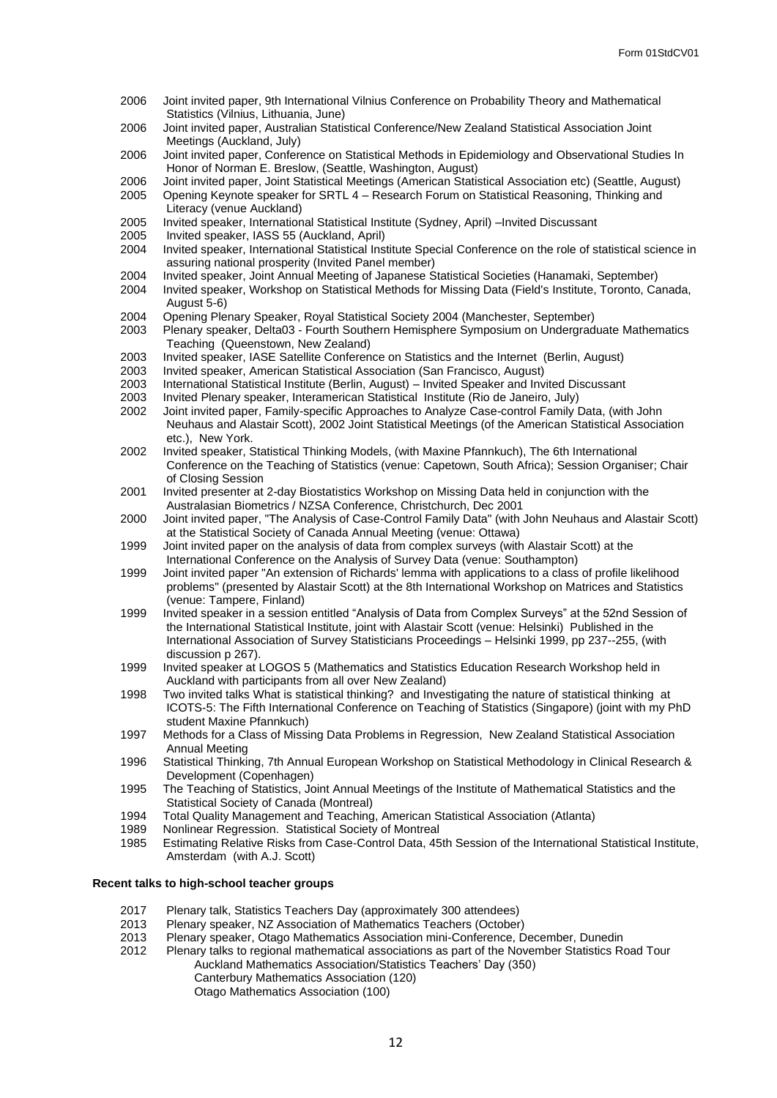- 2006 Joint invited paper, 9th International Vilnius Conference on Probability Theory and Mathematical Statistics (Vilnius, Lithuania, June)
- 2006 Joint invited paper, Australian Statistical Conference/New Zealand Statistical Association Joint Meetings (Auckland, July)
- 2006 Joint invited paper, Conference on Statistical Methods in Epidemiology and Observational Studies In Honor of Norman E. Breslow, (Seattle, Washington, August)
- 2006 Joint invited paper, Joint Statistical Meetings (American Statistical Association etc) (Seattle, August)<br>2005 Opening Keynote speaker for SRTL 4 Research Forum on Statistical Reasoning. Thinking and
- 2005 Opening Keynote speaker for SRTL 4 Research Forum on Statistical Reasoning, Thinking and Literacy (venue Auckland)
- 2005 Invited speaker, International Statistical Institute (Sydney, April) –Invited Discussant
- 2005 Invited speaker, IASS 55 (Auckland, April)
- Invited speaker, International Statistical Institute Special Conference on the role of statistical science in assuring national prosperity (Invited Panel member)
- 2004 Invited speaker, Joint Annual Meeting of Japanese Statistical Societies (Hanamaki, September) 2004 Invited speaker, Workshop on Statistical Methods for Missing Data (Field's Institute, Toronto, Canada,
- August 5-6)
- 2004 Opening Plenary Speaker, Royal Statistical Society 2004 (Manchester, September)
- 2003 Plenary speaker, Delta03 Fourth Southern Hemisphere Symposium on Undergraduate Mathematics Teaching (Queenstown, New Zealand)
- 2003 Invited speaker, IASE Satellite Conference on Statistics and the Internet (Berlin, August)<br>2003 Invited speaker, American Statistical Association (San Francisco, August)
- 2003 Invited speaker, American Statistical Association (San Francisco, August)
- 2003 International Statistical Institute (Berlin, August) Invited Speaker and Invited Discussant
- 2003 Invited Plenary speaker, Interamerican Statistical Institute (Rio de Janeiro, July)
- Joint invited paper, Family-specific Approaches to Analyze Case-control Family Data, (with John Neuhaus and Alastair Scott), 2002 Joint Statistical Meetings (of the American Statistical Association etc.), New York.
- 2002 Invited speaker, Statistical Thinking Models, (with Maxine Pfannkuch), The 6th International Conference on the Teaching of Statistics (venue: Capetown, South Africa); Session Organiser; Chair of Closing Session
- 2001 Invited presenter at 2-day Biostatistics Workshop on Missing Data held in conjunction with the Australasian Biometrics / NZSA Conference, Christchurch, Dec 2001
- 2000 Joint invited paper, "The Analysis of Case-Control Family Data" (with John Neuhaus and Alastair Scott) at the Statistical Society of Canada Annual Meeting (venue: Ottawa)
- 1999 Joint invited paper on the analysis of data from complex surveys (with Alastair Scott) at the International Conference on the Analysis of Survey Data (venue: Southampton)
- 1999 Joint invited paper "An extension of Richards' lemma with applications to a class of profile likelihood problems" (presented by Alastair Scott) at the 8th International Workshop on Matrices and Statistics (venue: Tampere, Finland)
- 1999 Invited speaker in a session entitled "Analysis of Data from Complex Surveys" at the 52nd Session of the International Statistical Institute, joint with Alastair Scott (venue: Helsinki) Published in the International Association of Survey Statisticians Proceedings – Helsinki 1999, pp 237--255, (with discussion p 267).
- 1999 Invited speaker at LOGOS 5 (Mathematics and Statistics Education Research Workshop held in Auckland with participants from all over New Zealand)
- 1998 Two invited talks What is statistical thinking? and Investigating the nature of statistical thinking at ICOTS-5: The Fifth International Conference on Teaching of Statistics (Singapore) (joint with my PhD student Maxine Pfannkuch)
- 1997 Methods for a Class of Missing Data Problems in Regression, New Zealand Statistical Association Annual Meeting
- 1996 Statistical Thinking, 7th Annual European Workshop on Statistical Methodology in Clinical Research & Development (Copenhagen)
- 1995 The Teaching of Statistics, Joint Annual Meetings of the Institute of Mathematical Statistics and the Statistical Society of Canada (Montreal)
- 1994 Total Quality Management and Teaching, American Statistical Association (Atlanta)
- 1989 Nonlinear Regression. Statistical Society of Montreal
- Estimating Relative Risks from Case-Control Data, 45th Session of the International Statistical Institute, Amsterdam (with A.J. Scott)

#### **Recent talks to high-school teacher groups**

- 2017 Plenary talk, Statistics Teachers Day (approximately 300 attendees)<br>2013 Plenary speaker, NZ Association of Mathematics Teachers (October
- Plenary speaker, NZ Association of Mathematics Teachers (October)
- 2013 Plenary speaker, Otago Mathematics Association mini-Conference, December, Dunedin
- 2012 Plenary talks to regional mathematical associations as part of the November Statistics Road Tour Auckland Mathematics Association/Statistics Teachers' Day (350) Canterbury Mathematics Association (120) Otago Mathematics Association (100)